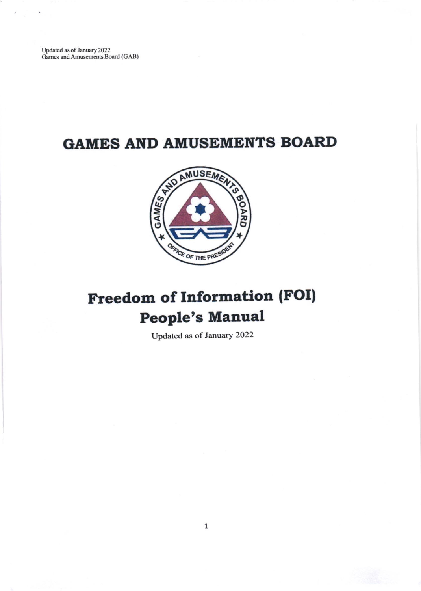Updated as of January 2022<br>Games and Amusements Board (GAB)

## **GAMES AND AMUSEMENTS BOARD**



## **Freedom of Information (FOI) People's Manual**

Updated as of January 2022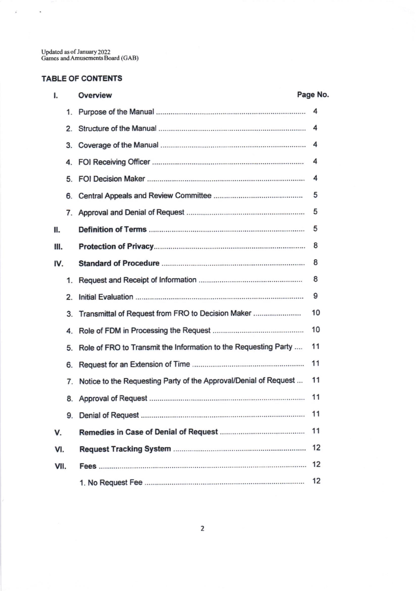Updated as of January 2022<br>Games and Amusements Board (GAB)

## TABLE OF CONTENTS

 $\mathcal{L}^{\pm}$  ,  $\mathcal{L}^{\pm}$ 

| I.   |    | Overview                                                         | Page No. |  |
|------|----|------------------------------------------------------------------|----------|--|
|      |    |                                                                  | 4        |  |
|      | 2. |                                                                  |          |  |
|      | 3. |                                                                  |          |  |
|      | 4. |                                                                  | 4        |  |
|      | 5. |                                                                  | 4        |  |
|      | 6. |                                                                  | 5        |  |
|      |    |                                                                  | 5        |  |
| Ш.   |    |                                                                  | 5        |  |
| Ш.   |    |                                                                  | 8        |  |
| IV.  |    |                                                                  | 8        |  |
|      | 1. |                                                                  | 8        |  |
|      | 2. |                                                                  | 9        |  |
|      | 3. | Transmittal of Request from FRO to Decision Maker                | 10       |  |
|      | 4. |                                                                  | 10       |  |
|      | 5. | Role of FRO to Transmit the Information to the Requesting Party  | 11       |  |
|      | 6. |                                                                  | 11       |  |
|      | 7. | Notice to the Requesting Party of the Approval/Denial of Request | 11       |  |
|      | 8. |                                                                  | 11       |  |
|      | 9. |                                                                  | -11      |  |
| v.   |    |                                                                  | 11       |  |
| VI.  |    |                                                                  | 12       |  |
| VII. |    |                                                                  | 12       |  |
|      |    |                                                                  | 12       |  |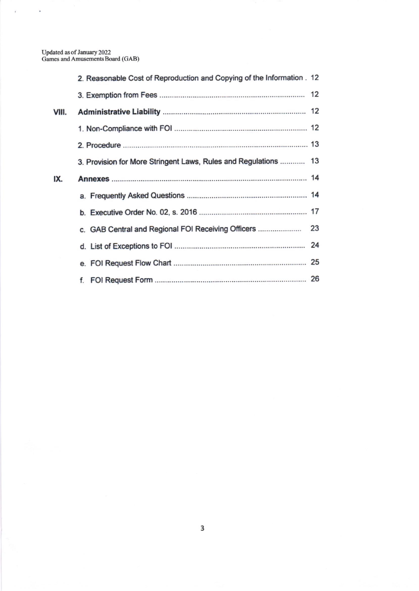$\vec{k}$ 

 $\sim$ 

|       | 2. Reasonable Cost of Reproduction and Copying of the Information . 12 |  |
|-------|------------------------------------------------------------------------|--|
|       |                                                                        |  |
| VIII. |                                                                        |  |
|       |                                                                        |  |
|       |                                                                        |  |
|       | 3. Provision for More Stringent Laws, Rules and Regulations  13        |  |
| IX.   |                                                                        |  |
|       |                                                                        |  |
|       |                                                                        |  |
|       |                                                                        |  |
|       |                                                                        |  |
|       |                                                                        |  |
|       |                                                                        |  |